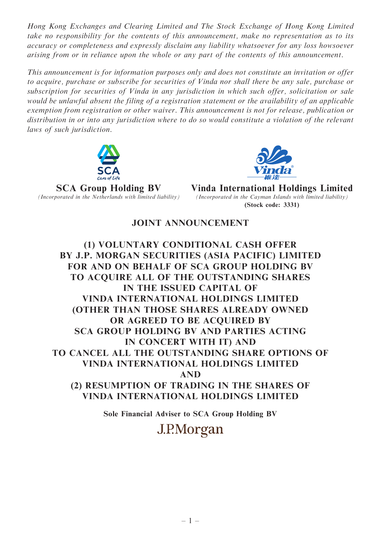Hong Kong Exchanges and Clearing Limited and The Stock Exchange of Hong Kong Limited take no responsibility for the contents of this announcement, make no representation as to its accuracy or completeness and expressly disclaim any liability whatsoever for any loss howsoever arising from or in reliance upon the whole or any part of the contents of this announcement.

This announcement is for information purposes only and does not constitute an invitation or offer to acquire, purchase or subscribe for securities of Vinda nor shall there be any sale, purchase or subscription for securities of Vinda in any jurisdiction in which such offer, solicitation or sale would be unlawful absent the filing of a registration statement or the availability of an applicable exemption from registration or other waiver. This announcement is not for release, publication or distribution in or into any jurisdiction where to do so would constitute a violation of the relevant laws of such jurisdiction.





**SCA Group Holding BV** Vinda International Holdings Limited (*Incorporated in the Netherlands with limited liability*) (*Incorporated in the Cayman Islands with limited liability*) (Incorporated in the Cayman Islands with limited liability) (Stock code: 3331)

# JOINT ANNOUNCEMENT

(1) VOLUNTARY CONDITIONAL CASH OFFER BY J.P. MORGAN SECURITIES (ASIA PACIFIC) LIMITED FOR AND ON BEHALF OF SCA GROUP HOLDING BV TO ACQUIRE ALL OF THE OUTSTANDING SHARES IN THE ISSUED CAPITAL OF VINDA INTERNATIONAL HOLDINGS LIMITED (OTHER THAN THOSE SHARES ALREADY OWNED OR AGREED TO BE ACOUIRED BY SCA GROUP HOLDING BV AND PARTIES ACTING IN CONCERT WITH IT) AND TO CANCEL ALL THE OUTSTANDING SHARE OPTIONS OF VINDA INTERNATIONAL HOLDINGS LIMITED AND (2) RESUMPTION OF TRADING IN THE SHARES OF VINDA INTERNATIONAL HOLDINGS LIMITED

Sole Financial Adviser to SCA Group Holding BV

# J.P.Morgan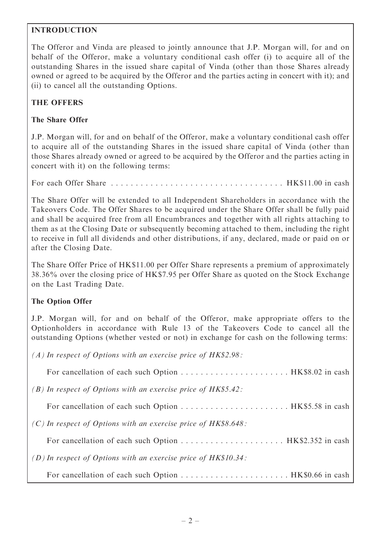## INTRODUCTION

The Offeror and Vinda are pleased to jointly announce that J.P. Morgan will, for and on behalf of the Offeror, make a voluntary conditional cash offer (i) to acquire all of the outstanding Shares in the issued share capital of Vinda (other than those Shares already owned or agreed to be acquired by the Offeror and the parties acting in concert with it); and (ii) to cancel all the outstanding Options.

## THE OFFERS

## The Share Offer

J.P. Morgan will, for and on behalf of the Offeror, make a voluntary conditional cash offer to acquire all of the outstanding Shares in the issued share capital of Vinda (other than those Shares already owned or agreed to be acquired by the Offeror and the parties acting in concert with it) on the following terms:

For each Offer Share . . . . . . . . . . . . . . . . . . . . . . . . . . . . . . . . . . . HK\$11.00 in cash

The Share Offer will be extended to all Independent Shareholders in accordance with the Takeovers Code. The Offer Shares to be acquired under the Share Offer shall be fully paid and shall be acquired free from all Encumbrances and together with all rights attaching to them as at the Closing Date or subsequently becoming attached to them, including the right to receive in full all dividends and other distributions, if any, declared, made or paid on or after the Closing Date.

The Share Offer Price of HK\$11.00 per Offer Share represents a premium of approximately 38.36% over the closing price of HK\$7.95 per Offer Share as quoted on the Stock Exchange on the Last Trading Date.

## The Option Offer

J.P. Morgan will, for and on behalf of the Offeror, make appropriate offers to the Optionholders in accordance with Rule 13 of the Takeovers Code to cancel all the outstanding Options (whether vested or not) in exchange for cash on the following terms:

 $(A)$  In respect of Options with an exercise price of HK\$2.98:

| $(B)$ In respect of Options with an exercise price of HK\$5.42:  |  |
|------------------------------------------------------------------|--|
|                                                                  |  |
| (C) In respect of Options with an exercise price of $HK88.648$ : |  |
|                                                                  |  |
| (D) In respect of Options with an exercise price of $HK$10.34$ : |  |
|                                                                  |  |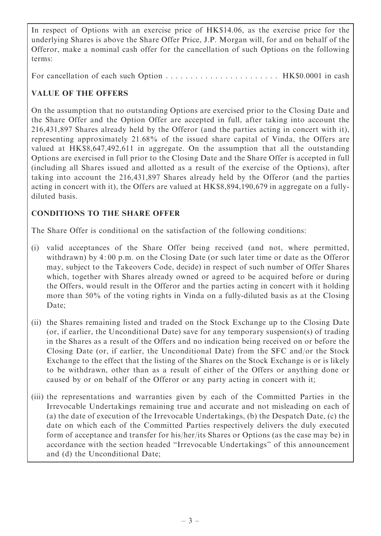In respect of Options with an exercise price of HK\$14.06, as the exercise price for the underlying Shares is above the Share Offer Price, J.P. Morgan will, for and on behalf of the Offeror, make a nominal cash offer for the cancellation of such Options on the following terms:

For cancellation of each such Option.............. . . . . . . . . . HK\$0.0001 in cash

## VALUE OF THE OFFERS

On the assumption that no outstanding Options are exercised prior to the Closing Date and the Share Offer and the Option Offer are accepted in full, after taking into account the 216,431,897 Shares already held by the Offeror (and the parties acting in concert with it), representing approximately 21.68% of the issued share capital of Vinda, the Offers are valued at HK\$8,647,492,611 in aggregate. On the assumption that all the outstanding Options are exercised in full prior to the Closing Date and the Share Offer is accepted in full (including all Shares issued and allotted as a result of the exercise of the Options), after taking into account the 216,431,897 Shares already held by the Offeror (and the parties acting in concert with it), the Offers are valued at HK\$8,894,190,679 in aggregate on a fullydiluted basis.

# CONDITIONS TO THE SHARE OFFER

The Share Offer is conditional on the satisfaction of the following conditions:

- (i) valid acceptances of the Share Offer being received (and not, where permitted, withdrawn) by 4: 00 p.m. on the Closing Date (or such later time or date as the Offeror may, subject to the Takeovers Code, decide) in respect of such number of Offer Shares which, together with Shares already owned or agreed to be acquired before or during the Offers, would result in the Offeror and the parties acting in concert with it holding more than 50% of the voting rights in Vinda on a fully-diluted basis as at the Closing Date;
- (ii) the Shares remaining listed and traded on the Stock Exchange up to the Closing Date (or, if earlier, the Unconditional Date) save for any temporary suspension(s) of trading in the Shares as a result of the Offers and no indication being received on or before the Closing Date (or, if earlier, the Unconditional Date) from the SFC and/or the Stock Exchange to the effect that the listing of the Shares on the Stock Exchange is or is likely to be withdrawn, other than as a result of either of the Offers or anything done or caused by or on behalf of the Offeror or any party acting in concert with it;
- (iii) the representations and warranties given by each of the Committed Parties in the Irrevocable Undertakings remaining true and accurate and not misleading on each of (a) the date of execution of the Irrevocable Undertakings, (b) the Despatch Date, (c) the date on which each of the Committed Parties respectively delivers the duly executed form of acceptance and transfer for his/her/its Shares or Options (as the case may be) in accordance with the section headed ''Irrevocable Undertakings'' of this announcement and (d) the Unconditional Date;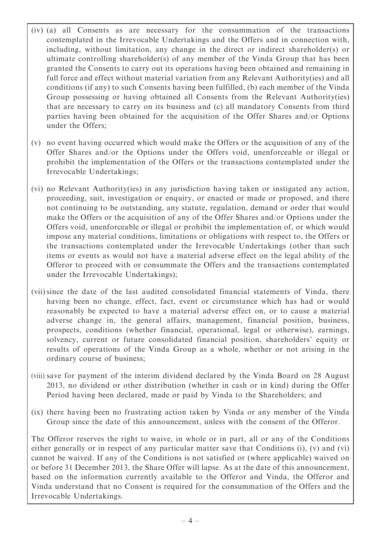- (iv) (a) all Consents as are necessary for the consummation of the transactions contemplated in the Irrevocable Undertakings and the Offers and in connection with, including, without limitation, any change in the direct or indirect shareholder(s) or ultimate controlling shareholder(s) of any member of the Vinda Group that has been granted the Consents to carry out its operations having been obtained and remaining in full force and effect without material variation from any Relevant Authority(ies) and all conditions (if any) to such Consents having been fulfilled, (b) each member of the Vinda Group possessing or having obtained all Consents from the Relevant Authority(ies) that are necessary to carry on its business and (c) all mandatory Consents from third parties having been obtained for the acquisition of the Offer Shares and/or Options under the Offers;
- (v) no event having occurred which would make the Offers or the acquisition of any of the Offer Shares and/or the Options under the Offers void, unenforceable or illegal or prohibit the implementation of the Offers or the transactions contemplated under the Irrevocable Undertakings;
- (vi) no Relevant Authority(ies) in any jurisdiction having taken or instigated any action, proceeding, suit, investigation or enquiry, or enacted or made or proposed, and there not continuing to be outstanding, any statute, regulation, demand or order that would make the Offers or the acquisition of any of the Offer Shares and/or Options under the Offers void, unenforceable or illegal or prohibit the implementation of, or which would impose any material conditions, limitations or obligations with respect to, the Offers or the transactions contemplated under the Irrevocable Undertakings (other than such items or events as would not have a material adverse effect on the legal ability of the Offeror to proceed with or consummate the Offers and the transactions contemplated under the Irrevocable Undertakings);
- (vii) since the date of the last audited consolidated financial statements of Vinda, there having been no change, effect, fact, event or circumstance which has had or would reasonably be expected to have a material adverse effect on, or to cause a material adverse change in, the general affairs, management, financial position, business, prospects, conditions (whether financial, operational, legal or otherwise), earnings, solvency, current or future consolidated financial position, shareholders' equity or results of operations of the Vinda Group as a whole, whether or not arising in the ordinary course of business;
- (viii) save for payment of the interim dividend declared by the Vinda Board on 28 August 2013, no dividend or other distribution (whether in cash or in kind) during the Offer Period having been declared, made or paid by Vinda to the Shareholders; and
- (ix) there having been no frustrating action taken by Vinda or any member of the Vinda Group since the date of this announcement, unless with the consent of the Offeror.

The Offeror reserves the right to waive, in whole or in part, all or any of the Conditions either generally or in respect of any particular matter save that Conditions (i), (v) and (vi) cannot be waived. If any of the Conditions is not satisfied or (where applicable) waived on or before 31 December 2013, the Share Offer will lapse. As at the date of this announcement, based on the information currently available to the Offeror and Vinda, the Offeror and Vinda understand that no Consent is required for the consummation of the Offers and the Irrevocable Undertakings.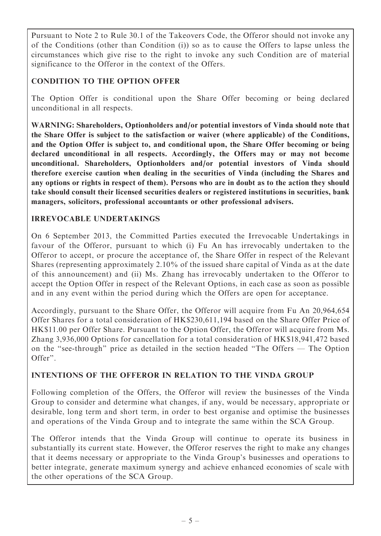Pursuant to Note 2 to Rule 30.1 of the Takeovers Code, the Offeror should not invoke any of the Conditions (other than Condition (i)) so as to cause the Offers to lapse unless the circumstances which give rise to the right to invoke any such Condition are of material significance to the Offeror in the context of the Offers.

## CONDITION TO THE OPTION OFFER

The Option Offer is conditional upon the Share Offer becoming or being declared unconditional in all respects.

WARNING: Shareholders, Optionholders and/or potential investors of Vinda should note that the Share Offer is subject to the satisfaction or waiver (where applicable) of the Conditions, and the Option Offer is subject to, and conditional upon, the Share Offer becoming or being declared unconditional in all respects. Accordingly, the Offers may or may not become unconditional. Shareholders, Optionholders and/or potential investors of Vinda should therefore exercise caution when dealing in the securities of Vinda (including the Shares and any options or rights in respect of them). Persons who are in doubt as to the action they should take should consult their licensed securities dealers or registered institutions in securities, bank managers, solicitors, professional accountants or other professional advisers.

## IRREVOCABLE UNDERTAKINGS

On 6 September 2013, the Committed Parties executed the Irrevocable Undertakings in favour of the Offeror, pursuant to which (i) Fu An has irrevocably undertaken to the Offeror to accept, or procure the acceptance of, the Share Offer in respect of the Relevant Shares (representing approximately 2.10% of the issued share capital of Vinda as at the date of this announcement) and (ii) Ms. Zhang has irrevocably undertaken to the Offeror to accept the Option Offer in respect of the Relevant Options, in each case as soon as possible and in any event within the period during which the Offers are open for acceptance.

Accordingly, pursuant to the Share Offer, the Offeror will acquire from Fu An 20,964,654 Offer Shares for a total consideration of HK\$230,611,194 based on the Share Offer Price of HK\$11.00 per Offer Share. Pursuant to the Option Offer, the Offeror will acquire from Ms. Zhang 3,936,000 Options for cancellation for a total consideration of HK\$18,941,472 based on the ''see-through'' price as detailed in the section headed ''The Offers — The Option Offer''.

## INTENTIONS OF THE OFFEROR IN RELATION TO THE VINDA GROUP

Following completion of the Offers, the Offeror will review the businesses of the Vinda Group to consider and determine what changes, if any, would be necessary, appropriate or desirable, long term and short term, in order to best organise and optimise the businesses and operations of the Vinda Group and to integrate the same within the SCA Group.

The Offeror intends that the Vinda Group will continue to operate its business in substantially its current state. However, the Offeror reserves the right to make any changes that it deems necessary or appropriate to the Vinda Group's businesses and operations to better integrate, generate maximum synergy and achieve enhanced economies of scale with the other operations of the SCA Group.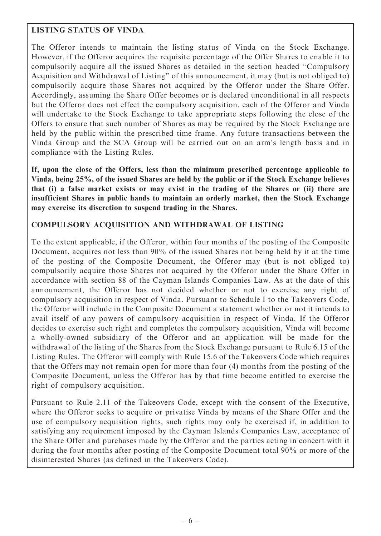## LISTING STATUS OF VINDA

The Offeror intends to maintain the listing status of Vinda on the Stock Exchange. However, if the Offeror acquires the requisite percentage of the Offer Shares to enable it to compulsorily acquire all the issued Shares as detailed in the section headed ''Compulsory Acquisition and Withdrawal of Listing'' of this announcement, it may (but is not obliged to) compulsorily acquire those Shares not acquired by the Offeror under the Share Offer. Accordingly, assuming the Share Offer becomes or is declared unconditional in all respects but the Offeror does not effect the compulsory acquisition, each of the Offeror and Vinda will undertake to the Stock Exchange to take appropriate steps following the close of the Offers to ensure that such number of Shares as may be required by the Stock Exchange are held by the public within the prescribed time frame. Any future transactions between the Vinda Group and the SCA Group will be carried out on an arm's length basis and in compliance with the Listing Rules.

If, upon the close of the Offers, less than the minimum prescribed percentage applicable to Vinda, being 25%, of the issued Shares are held by the public or if the Stock Exchange believes that (i) a false market exists or may exist in the trading of the Shares or (ii) there are insufficient Shares in public hands to maintain an orderly market, then the Stock Exchange may exercise its discretion to suspend trading in the Shares.

## COMPULSORY ACQUISITION AND WITHDRAWAL OF LISTING

To the extent applicable, if the Offeror, within four months of the posting of the Composite Document, acquires not less than 90% of the issued Shares not being held by it at the time of the posting of the Composite Document, the Offeror may (but is not obliged to) compulsorily acquire those Shares not acquired by the Offeror under the Share Offer in accordance with section 88 of the Cayman Islands Companies Law. As at the date of this announcement, the Offeror has not decided whether or not to exercise any right of compulsory acquisition in respect of Vinda. Pursuant to Schedule I to the Takeovers Code, the Offeror will include in the Composite Document a statement whether or not it intends to avail itself of any powers of compulsory acquisition in respect of Vinda. If the Offeror decides to exercise such right and completes the compulsory acquisition, Vinda will become a wholly-owned subsidiary of the Offeror and an application will be made for the withdrawal of the listing of the Shares from the Stock Exchange pursuant to Rule 6.15 of the Listing Rules. The Offeror will comply with Rule 15.6 of the Takeovers Code which requires that the Offers may not remain open for more than four (4) months from the posting of the Composite Document, unless the Offeror has by that time become entitled to exercise the right of compulsory acquisition.

Pursuant to Rule 2.11 of the Takeovers Code, except with the consent of the Executive, where the Offeror seeks to acquire or privatise Vinda by means of the Share Offer and the use of compulsory acquisition rights, such rights may only be exercised if, in addition to satisfying any requirement imposed by the Cayman Islands Companies Law, acceptance of the Share Offer and purchases made by the Offeror and the parties acting in concert with it during the four months after posting of the Composite Document total 90% or more of the disinterested Shares (as defined in the Takeovers Code).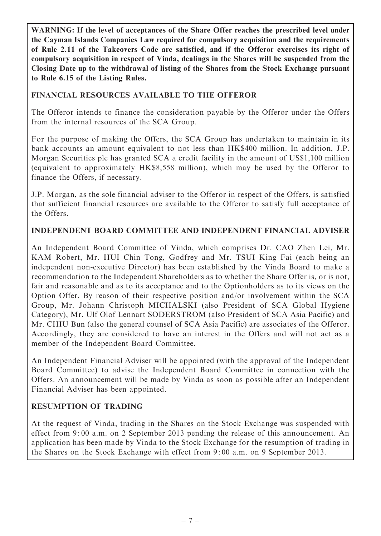WARNING: If the level of acceptances of the Share Offer reaches the prescribed level under the Cayman Islands Companies Law required for compulsory acquisition and the requirements of Rule 2.11 of the Takeovers Code are satisfied, and if the Offeror exercises its right of compulsory acquisition in respect of Vinda, dealings in the Shares will be suspended from the Closing Date up to the withdrawal of listing of the Shares from the Stock Exchange pursuant to Rule 6.15 of the Listing Rules.

## FINANCIAL RESOURCES AVAILABLE TO THE OFFEROR

The Offeror intends to finance the consideration payable by the Offeror under the Offers from the internal resources of the SCA Group.

For the purpose of making the Offers, the SCA Group has undertaken to maintain in its bank accounts an amount equivalent to not less than HK\$400 million. In addition, J.P. Morgan Securities plc has granted SCA a credit facility in the amount of US\$1,100 million (equivalent to approximately HK\$8,558 million), which may be used by the Offeror to finance the Offers, if necessary.

J.P. Morgan, as the sole financial adviser to the Offeror in respect of the Offers, is satisfied that sufficient financial resources are available to the Offeror to satisfy full acceptance of the Offers.

## INDEPENDENT BOARD COMMITTEE AND INDEPENDENT FINANCIAL ADVISER

An Independent Board Committee of Vinda, which comprises Dr. CAO Zhen Lei, Mr. KAM Robert, Mr. HUI Chin Tong, Godfrey and Mr. TSUI King Fai (each being an independent non-executive Director) has been established by the Vinda Board to make a recommendation to the Independent Shareholders as to whether the Share Offer is, or is not, fair and reasonable and as to its acceptance and to the Optionholders as to its views on the Option Offer. By reason of their respective position and/or involvement within the SCA Group, Mr. Johann Christoph MICHALSKI (also President of SCA Global Hygiene Category), Mr. Ulf Olof Lennart SODERSTROM (also President of SCA Asia Pacific) and Mr. CHIU Bun (also the general counsel of SCA Asia Pacific) are associates of the Offeror. Accordingly, they are considered to have an interest in the Offers and will not act as a member of the Independent Board Committee.

An Independent Financial Adviser will be appointed (with the approval of the Independent Board Committee) to advise the Independent Board Committee in connection with the Offers. An announcement will be made by Vinda as soon as possible after an Independent Financial Adviser has been appointed.

## RESUMPTION OF TRADING

At the request of Vinda, trading in the Shares on the Stock Exchange was suspended with effect from 9: 00 a.m. on 2 September 2013 pending the release of this announcement. An application has been made by Vinda to the Stock Exchange for the resumption of trading in the Shares on the Stock Exchange with effect from 9: 00 a.m. on 9 September 2013.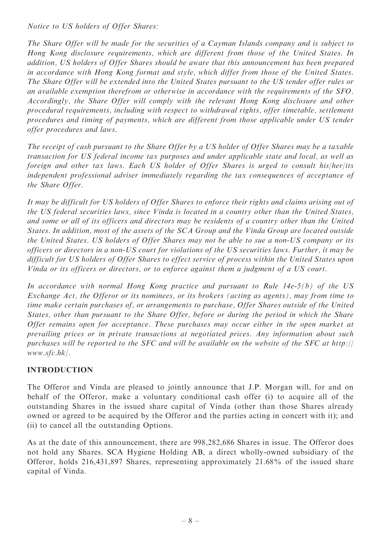Notice to US holders of Offer Shares:

The Share Offer will be made for the securities of a Cayman Islands company and is subject to Hong Kong disclosure requirements, which are different from those of the United States. In addition, US holders of Offer Shares should be aware that this announcement has been prepared in accordance with Hong Kong format and style, which differ from those of the United States. The Share Offer will be extended into the United States pursuant to the US tender offer rules or an available exemption therefrom or otherwise in accordance with the requirements of the SFO. Accordingly, the Share Offer will comply with the relevant Hong Kong disclosure and other procedural requirements, including with respect to withdrawal rights, offer timetable, settlement procedures and timing of payments, which are different from those applicable under US tender offer procedures and laws.

The receipt of cash pursuant to the Share Offer by a US holder of Offer Shares may be a taxable transaction for US federal income tax purposes and under applicable state and local, as well as foreign and other tax laws. Each US holder of Offer Shares is urged to consult his/her/its independent professional adviser immediately regarding the tax consequences of acceptance of the Share Offer.

It may be difficult for US holders of Offer Shares to enforce their rights and claims arising out of the US federal securities laws, since Vinda is located in a country other than the United States, and some or all of its officers and directors may be residents of a country other than the United States. In addition, most of the assets of the SCA Group and the Vinda Group are located outside the United States. US holders of Offer Shares may not be able to sue a non-US company or its officers or directors in a non-US court for violations of the US securities laws. Further, it may be difficult for US holders of Offer Shares to effect service of process within the United States upon Vinda or its officers or directors, or to enforce against them a judgment of a US court.

In accordance with normal Hong Kong practice and pursuant to Rule 14e-5(b) of the US Exchange Act, the Offeror or its nominees, or its brokers (acting as agents), may from time to time make certain purchases of, or arrangements to purchase, Offer Shares outside of the United States, other than pursuant to the Share Offer, before or during the period in which the Share Offer remains open for acceptance. These purchases may occur either in the open market at prevailing prices or in private transactions at negotiated prices. Any information about such purchases will be reported to the SFC and will be available on the website of the SFC at http:// www.sfc.hk/.

## INTRODUCTION

The Offeror and Vinda are pleased to jointly announce that J.P. Morgan will, for and on behalf of the Offeror, make a voluntary conditional cash offer (i) to acquire all of the outstanding Shares in the issued share capital of Vinda (other than those Shares already owned or agreed to be acquired by the Offeror and the parties acting in concert with it); and (ii) to cancel all the outstanding Options.

As at the date of this announcement, there are 998,282,686 Shares in issue. The Offeror does not hold any Shares. SCA Hygiene Holding AB, a direct wholly-owned subsidiary of the Offeror, holds 216,431,897 Shares, representing approximately 21.68% of the issued share capital of Vinda.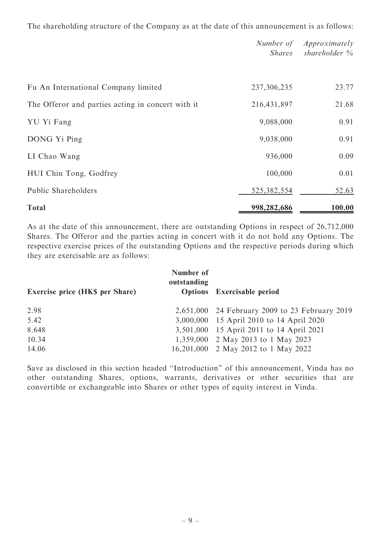The shareholding structure of the Company as at the date of this announcement is as follows:

|                                                   | Number of<br><i>Shares</i> | Approximately<br>shareholder $\%$ |
|---------------------------------------------------|----------------------------|-----------------------------------|
| Fu An International Company limited               | 237, 306, 235              | 23.77                             |
| The Offeror and parties acting in concert with it | 216,431,897                | 21.68                             |
| YU Yi Fang                                        | 9,088,000                  | 0.91                              |
| DONG Yi Ping                                      | 9,038,000                  | 0.91                              |
| LI Chao Wang                                      | 936,000                    | 0.09                              |
| HUI Chin Tong, Godfrey                            | 100,000                    | 0.01                              |
| Public Shareholders                               | 525, 382, 554              | 52.63                             |
| <b>Total</b>                                      | 998,282,686                | 100.00                            |

As at the date of this announcement, there are outstanding Options in respect of 26,712,000 Shares. The Offeror and the parties acting in concert with it do not hold any Options. The respective exercise prices of the outstanding Options and the respective periods during which they are exercisable are as follows:

| <b>Exercise price (HK\$ per Share)</b> | Number of<br>outstanding | <b>Options</b> Exercisable period              |
|----------------------------------------|--------------------------|------------------------------------------------|
| 2.98                                   |                          | 2,651,000 24 February 2009 to 23 February 2019 |
| 5.42                                   |                          | 3,000,000 15 April 2010 to 14 April 2020       |
| 8.648                                  |                          | 3,501,000 15 April 2011 to 14 April 2021       |
| 10.34                                  |                          | 1,359,000 2 May 2013 to 1 May 2023             |
| 14.06                                  |                          | 16,201,000 2 May 2012 to 1 May 2022            |

Save as disclosed in this section headed ''Introduction'' of this announcement, Vinda has no other outstanding Shares, options, warrants, derivatives or other securities that are convertible or exchangeable into Shares or other types of equity interest in Vinda.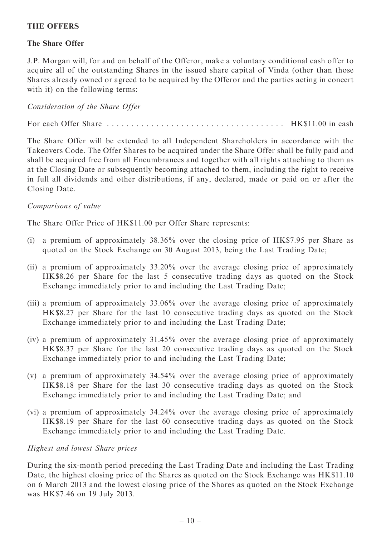## THE OFFERS

#### The Share Offer

J.P. Morgan will, for and on behalf of the Offeror, make a voluntary conditional cash offer to acquire all of the outstanding Shares in the issued share capital of Vinda (other than those Shares already owned or agreed to be acquired by the Offeror and the parties acting in concert with it) on the following terms:

Consideration of the Share Offer

For each Offer Share . . . . . . . . . . . . . . . . . . . . . . . . . . . . . . . . . . . . HK\$11.00 in cash

The Share Offer will be extended to all Independent Shareholders in accordance with the Takeovers Code. The Offer Shares to be acquired under the Share Offer shall be fully paid and shall be acquired free from all Encumbrances and together with all rights attaching to them as at the Closing Date or subsequently becoming attached to them, including the right to receive in full all dividends and other distributions, if any, declared, made or paid on or after the Closing Date.

#### Comparisons of value

The Share Offer Price of HK\$11.00 per Offer Share represents:

- (i) a premium of approximately 38.36% over the closing price of HK\$7.95 per Share as quoted on the Stock Exchange on 30 August 2013, being the Last Trading Date;
- (ii) a premium of approximately 33.20% over the average closing price of approximately HK\$8.26 per Share for the last 5 consecutive trading days as quoted on the Stock Exchange immediately prior to and including the Last Trading Date;
- (iii) a premium of approximately 33.06% over the average closing price of approximately HK\$8.27 per Share for the last 10 consecutive trading days as quoted on the Stock Exchange immediately prior to and including the Last Trading Date;
- (iv) a premium of approximately 31.45% over the average closing price of approximately HK\$8.37 per Share for the last 20 consecutive trading days as quoted on the Stock Exchange immediately prior to and including the Last Trading Date;
- (v) a premium of approximately 34.54% over the average closing price of approximately HK\$8.18 per Share for the last 30 consecutive trading days as quoted on the Stock Exchange immediately prior to and including the Last Trading Date; and
- (vi) a premium of approximately 34.24% over the average closing price of approximately HK\$8.19 per Share for the last 60 consecutive trading days as quoted on the Stock Exchange immediately prior to and including the Last Trading Date.

#### Highest and lowest Share prices

During the six-month period preceding the Last Trading Date and including the Last Trading Date, the highest closing price of the Shares as quoted on the Stock Exchange was HK\$11.10 on 6 March 2013 and the lowest closing price of the Shares as quoted on the Stock Exchange was HK\$7.46 on 19 July 2013.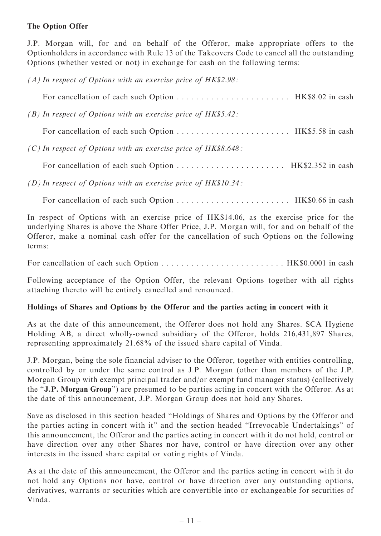## The Option Offer

J.P. Morgan will, for and on behalf of the Offeror, make appropriate offers to the Optionholders in accordance with Rule 13 of the Takeovers Code to cancel all the outstanding Options (whether vested or not) in exchange for cash on the following terms:

 $(A)$  In respect of Options with an exercise price of HK\$2.98:

| $(B)$ In respect of Options with an exercise price of HK\$5.42:  |  |
|------------------------------------------------------------------|--|
|                                                                  |  |
| (C) In respect of Options with an exercise price of HK\$8.648:   |  |
|                                                                  |  |
| (D) In respect of Options with an exercise price of $HK$10.34$ : |  |

For cancellation of each such Option . . . . . . . . . . . . . . . . . . . . . . . HK\$0.66 in cash

In respect of Options with an exercise price of HK\$14.06, as the exercise price for the underlying Shares is above the Share Offer Price, J.P. Morgan will, for and on behalf of the Offeror, make a nominal cash offer for the cancellation of such Options on the following terms:

For cancellation of each such Option . . . . . . . . . . . . . . . . . . . . . . . . . HK\$0.0001 in cash

Following acceptance of the Option Offer, the relevant Options together with all rights attaching thereto will be entirely cancelled and renounced.

#### Holdings of Shares and Options by the Offeror and the parties acting in concert with it

As at the date of this announcement, the Offeror does not hold any Shares. SCA Hygiene Holding AB, a direct wholly-owned subsidiary of the Offeror, holds 216,431,897 Shares, representing approximately 21.68% of the issued share capital of Vinda.

J.P. Morgan, being the sole financial adviser to the Offeror, together with entities controlling, controlled by or under the same control as J.P. Morgan (other than members of the J.P. Morgan Group with exempt principal trader and/or exempt fund manager status) (collectively the ''J.P. Morgan Group'') are presumed to be parties acting in concert with the Offeror. As at the date of this announcement, J.P. Morgan Group does not hold any Shares.

Save as disclosed in this section headed ''Holdings of Shares and Options by the Offeror and the parties acting in concert with it'' and the section headed ''Irrevocable Undertakings'' of this announcement, the Offeror and the parties acting in concert with it do not hold, control or have direction over any other Shares nor have, control or have direction over any other interests in the issued share capital or voting rights of Vinda.

As at the date of this announcement, the Offeror and the parties acting in concert with it do not hold any Options nor have, control or have direction over any outstanding options, derivatives, warrants or securities which are convertible into or exchangeable for securities of Vinda.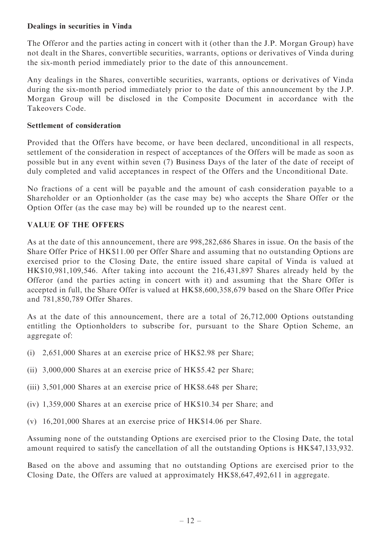#### Dealings in securities in Vinda

The Offeror and the parties acting in concert with it (other than the J.P. Morgan Group) have not dealt in the Shares, convertible securities, warrants, options or derivatives of Vinda during the six-month period immediately prior to the date of this announcement.

Any dealings in the Shares, convertible securities, warrants, options or derivatives of Vinda during the six-month period immediately prior to the date of this announcement by the J.P. Morgan Group will be disclosed in the Composite Document in accordance with the Takeovers Code.

## Settlement of consideration

Provided that the Offers have become, or have been declared, unconditional in all respects, settlement of the consideration in respect of acceptances of the Offers will be made as soon as possible but in any event within seven (7) Business Days of the later of the date of receipt of duly completed and valid acceptances in respect of the Offers and the Unconditional Date.

No fractions of a cent will be payable and the amount of cash consideration payable to a Shareholder or an Optionholder (as the case may be) who accepts the Share Offer or the Option Offer (as the case may be) will be rounded up to the nearest cent.

## VALUE OF THE OFFERS

As at the date of this announcement, there are 998,282,686 Shares in issue. On the basis of the Share Offer Price of HK\$11.00 per Offer Share and assuming that no outstanding Options are exercised prior to the Closing Date, the entire issued share capital of Vinda is valued at HK\$10,981,109,546. After taking into account the 216,431,897 Shares already held by the Offeror (and the parties acting in concert with it) and assuming that the Share Offer is accepted in full, the Share Offer is valued at HK\$8,600,358,679 based on the Share Offer Price and 781,850,789 Offer Shares.

As at the date of this announcement, there are a total of 26,712,000 Options outstanding entitling the Optionholders to subscribe for, pursuant to the Share Option Scheme, an aggregate of:

- (i) 2,651,000 Shares at an exercise price of HK\$2.98 per Share;
- (ii) 3,000,000 Shares at an exercise price of HK\$5.42 per Share;
- (iii) 3,501,000 Shares at an exercise price of HK\$8.648 per Share;
- (iv) 1,359,000 Shares at an exercise price of HK\$10.34 per Share; and
- (v) 16,201,000 Shares at an exercise price of HK\$14.06 per Share.

Assuming none of the outstanding Options are exercised prior to the Closing Date, the total amount required to satisfy the cancellation of all the outstanding Options is HK\$47,133,932.

Based on the above and assuming that no outstanding Options are exercised prior to the Closing Date, the Offers are valued at approximately HK\$8,647,492,611 in aggregate.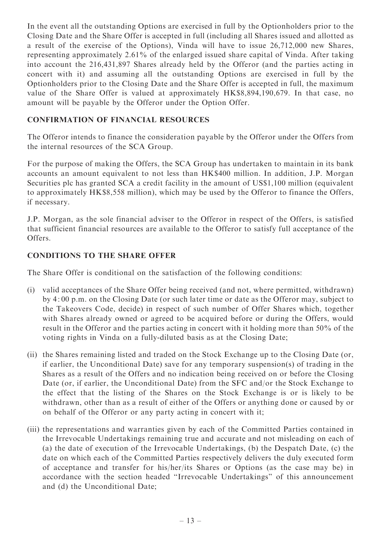In the event all the outstanding Options are exercised in full by the Optionholders prior to the Closing Date and the Share Offer is accepted in full (including all Shares issued and allotted as a result of the exercise of the Options), Vinda will have to issue 26,712,000 new Shares, representing approximately 2.61% of the enlarged issued share capital of Vinda. After taking into account the 216,431,897 Shares already held by the Offeror (and the parties acting in concert with it) and assuming all the outstanding Options are exercised in full by the Optionholders prior to the Closing Date and the Share Offer is accepted in full, the maximum value of the Share Offer is valued at approximately HK\$8,894,190,679. In that case, no amount will be payable by the Offeror under the Option Offer.

## CONFIRMATION OF FINANCIAL RESOURCES

The Offeror intends to finance the consideration payable by the Offeror under the Offers from the internal resources of the SCA Group.

For the purpose of making the Offers, the SCA Group has undertaken to maintain in its bank accounts an amount equivalent to not less than HK\$400 million. In addition, J.P. Morgan Securities plc has granted SCA a credit facility in the amount of US\$1,100 million (equivalent to approximately HK\$8,558 million), which may be used by the Offeror to finance the Offers, if necessary.

J.P. Morgan, as the sole financial adviser to the Offeror in respect of the Offers, is satisfied that sufficient financial resources are available to the Offeror to satisfy full acceptance of the Offers.

## CONDITIONS TO THE SHARE OFFER

The Share Offer is conditional on the satisfaction of the following conditions:

- (i) valid acceptances of the Share Offer being received (and not, where permitted, withdrawn) by 4: 00 p.m. on the Closing Date (or such later time or date as the Offeror may, subject to the Takeovers Code, decide) in respect of such number of Offer Shares which, together with Shares already owned or agreed to be acquired before or during the Offers, would result in the Offeror and the parties acting in concert with it holding more than 50% of the voting rights in Vinda on a fully-diluted basis as at the Closing Date;
- (ii) the Shares remaining listed and traded on the Stock Exchange up to the Closing Date (or, if earlier, the Unconditional Date) save for any temporary suspension(s) of trading in the Shares as a result of the Offers and no indication being received on or before the Closing Date (or, if earlier, the Unconditional Date) from the SFC and/or the Stock Exchange to the effect that the listing of the Shares on the Stock Exchange is or is likely to be withdrawn, other than as a result of either of the Offers or anything done or caused by or on behalf of the Offeror or any party acting in concert with it;
- (iii) the representations and warranties given by each of the Committed Parties contained in the Irrevocable Undertakings remaining true and accurate and not misleading on each of (a) the date of execution of the Irrevocable Undertakings, (b) the Despatch Date, (c) the date on which each of the Committed Parties respectively delivers the duly executed form of acceptance and transfer for his/her/its Shares or Options (as the case may be) in accordance with the section headed ''Irrevocable Undertakings'' of this announcement and (d) the Unconditional Date;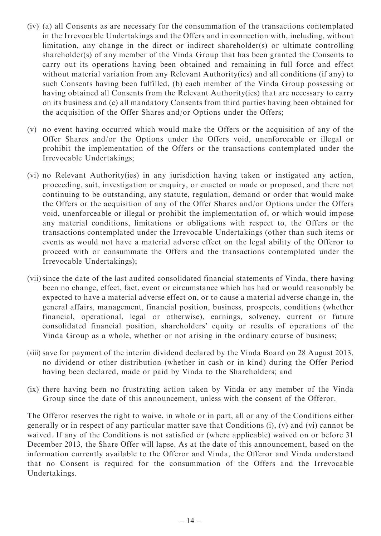- (iv) (a) all Consents as are necessary for the consummation of the transactions contemplated in the Irrevocable Undertakings and the Offers and in connection with, including, without limitation, any change in the direct or indirect shareholder(s) or ultimate controlling shareholder(s) of any member of the Vinda Group that has been granted the Consents to carry out its operations having been obtained and remaining in full force and effect without material variation from any Relevant Authority(ies) and all conditions (if any) to such Consents having been fulfilled, (b) each member of the Vinda Group possessing or having obtained all Consents from the Relevant Authority(ies) that are necessary to carry on its business and (c) all mandatory Consents from third parties having been obtained for the acquisition of the Offer Shares and/or Options under the Offers;
- (v) no event having occurred which would make the Offers or the acquisition of any of the Offer Shares and/or the Options under the Offers void, unenforceable or illegal or prohibit the implementation of the Offers or the transactions contemplated under the Irrevocable Undertakings;
- (vi) no Relevant Authority(ies) in any jurisdiction having taken or instigated any action, proceeding, suit, investigation or enquiry, or enacted or made or proposed, and there not continuing to be outstanding, any statute, regulation, demand or order that would make the Offers or the acquisition of any of the Offer Shares and/or Options under the Offers void, unenforceable or illegal or prohibit the implementation of, or which would impose any material conditions, limitations or obligations with respect to, the Offers or the transactions contemplated under the Irrevocable Undertakings (other than such items or events as would not have a material adverse effect on the legal ability of the Offeror to proceed with or consummate the Offers and the transactions contemplated under the Irrevocable Undertakings);
- (vii) since the date of the last audited consolidated financial statements of Vinda, there having been no change, effect, fact, event or circumstance which has had or would reasonably be expected to have a material adverse effect on, or to cause a material adverse change in, the general affairs, management, financial position, business, prospects, conditions (whether financial, operational, legal or otherwise), earnings, solvency, current or future consolidated financial position, shareholders' equity or results of operations of the Vinda Group as a whole, whether or not arising in the ordinary course of business;
- (viii) save for payment of the interim dividend declared by the Vinda Board on 28 August 2013, no dividend or other distribution (whether in cash or in kind) during the Offer Period having been declared, made or paid by Vinda to the Shareholders; and
- (ix) there having been no frustrating action taken by Vinda or any member of the Vinda Group since the date of this announcement, unless with the consent of the Offeror.

The Offeror reserves the right to waive, in whole or in part, all or any of the Conditions either generally or in respect of any particular matter save that Conditions (i), (v) and (vi) cannot be waived. If any of the Conditions is not satisfied or (where applicable) waived on or before 31 December 2013, the Share Offer will lapse. As at the date of this announcement, based on the information currently available to the Offeror and Vinda, the Offeror and Vinda understand that no Consent is required for the consummation of the Offers and the Irrevocable Undertakings.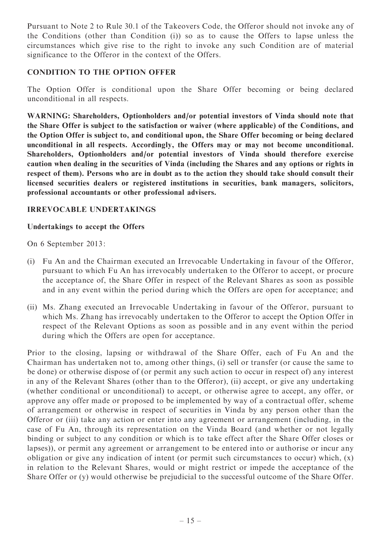Pursuant to Note 2 to Rule 30.1 of the Takeovers Code, the Offeror should not invoke any of the Conditions (other than Condition (i)) so as to cause the Offers to lapse unless the circumstances which give rise to the right to invoke any such Condition are of material significance to the Offeror in the context of the Offers.

## CONDITION TO THE OPTION OFFER

The Option Offer is conditional upon the Share Offer becoming or being declared unconditional in all respects.

WARNING: Shareholders, Optionholders and/or potential investors of Vinda should note that the Share Offer is subject to the satisfaction or waiver (where applicable) of the Conditions, and the Option Offer is subject to, and conditional upon, the Share Offer becoming or being declared unconditional in all respects. Accordingly, the Offers may or may not become unconditional. Shareholders, Optionholders and/or potential investors of Vinda should therefore exercise caution when dealing in the securities of Vinda (including the Shares and any options or rights in respect of them). Persons who are in doubt as to the action they should take should consult their licensed securities dealers or registered institutions in securities, bank managers, solicitors, professional accountants or other professional advisers.

## IRREVOCABLE UNDERTAKINGS

#### Undertakings to accept the Offers

On 6 September 2013:

- (i) Fu An and the Chairman executed an Irrevocable Undertaking in favour of the Offeror, pursuant to which Fu An has irrevocably undertaken to the Offeror to accept, or procure the acceptance of, the Share Offer in respect of the Relevant Shares as soon as possible and in any event within the period during which the Offers are open for acceptance; and
- (ii) Ms. Zhang executed an Irrevocable Undertaking in favour of the Offeror, pursuant to which Ms. Zhang has irrevocably undertaken to the Offeror to accept the Option Offer in respect of the Relevant Options as soon as possible and in any event within the period during which the Offers are open for acceptance.

Prior to the closing, lapsing or withdrawal of the Share Offer, each of Fu An and the Chairman has undertaken not to, among other things, (i) sell or transfer (or cause the same to be done) or otherwise dispose of (or permit any such action to occur in respect of) any interest in any of the Relevant Shares (other than to the Offeror), (ii) accept, or give any undertaking (whether conditional or unconditional) to accept, or otherwise agree to accept, any offer, or approve any offer made or proposed to be implemented by way of a contractual offer, scheme of arrangement or otherwise in respect of securities in Vinda by any person other than the Offeror or (iii) take any action or enter into any agreement or arrangement (including, in the case of Fu An, through its representation on the Vinda Board (and whether or not legally binding or subject to any condition or which is to take effect after the Share Offer closes or lapses)), or permit any agreement or arrangement to be entered into or authorise or incur any obligation or give any indication of intent (or permit such circumstances to occur) which, (x) in relation to the Relevant Shares, would or might restrict or impede the acceptance of the Share Offer or (y) would otherwise be prejudicial to the successful outcome of the Share Offer.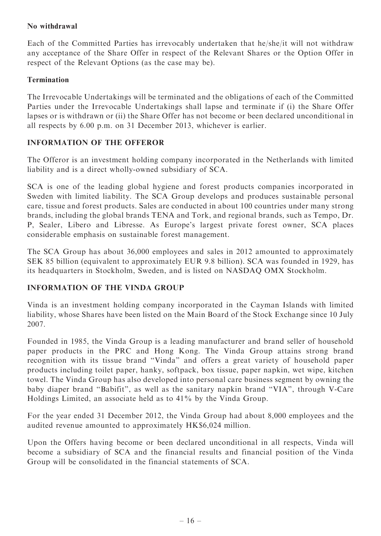## No withdrawal

Each of the Committed Parties has irrevocably undertaken that he/she/it will not withdraw any acceptance of the Share Offer in respect of the Relevant Shares or the Option Offer in respect of the Relevant Options (as the case may be).

## Termination

The Irrevocable Undertakings will be terminated and the obligations of each of the Committed Parties under the Irrevocable Undertakings shall lapse and terminate if (i) the Share Offer lapses or is withdrawn or (ii) the Share Offer has not become or been declared unconditional in all respects by 6.00 p.m. on 31 December 2013, whichever is earlier.

## INFORMATION OF THE OFFEROR

The Offeror is an investment holding company incorporated in the Netherlands with limited liability and is a direct wholly-owned subsidiary of SCA.

SCA is one of the leading global hygiene and forest products companies incorporated in Sweden with limited liability. The SCA Group develops and produces sustainable personal care, tissue and forest products. Sales are conducted in about 100 countries under many strong brands, including the global brands TENA and Tork, and regional brands, such as Tempo, Dr. P, Sealer, Libero and Libresse. As Europe's largest private forest owner, SCA places considerable emphasis on sustainable forest management.

The SCA Group has about 36,000 employees and sales in 2012 amounted to approximately SEK 85 billion (equivalent to approximately EUR 9.8 billion). SCA was founded in 1929, has its headquarters in Stockholm, Sweden, and is listed on NASDAQ OMX Stockholm.

## INFORMATION OF THE VINDA GROUP

Vinda is an investment holding company incorporated in the Cayman Islands with limited liability, whose Shares have been listed on the Main Board of the Stock Exchange since 10 July 2007.

Founded in 1985, the Vinda Group is a leading manufacturer and brand seller of household paper products in the PRC and Hong Kong. The Vinda Group attains strong brand recognition with its tissue brand ''Vinda'' and offers a great variety of household paper products including toilet paper, hanky, softpack, box tissue, paper napkin, wet wipe, kitchen towel. The Vinda Group has also developed into personal care business segment by owning the baby diaper brand ''Babifit'', as well as the sanitary napkin brand ''VIA'', through V-Care Holdings Limited, an associate held as to 41% by the Vinda Group.

For the year ended 31 December 2012, the Vinda Group had about 8,000 employees and the audited revenue amounted to approximately HK\$6,024 million.

Upon the Offers having become or been declared unconditional in all respects, Vinda will become a subsidiary of SCA and the financial results and financial position of the Vinda Group will be consolidated in the financial statements of SCA.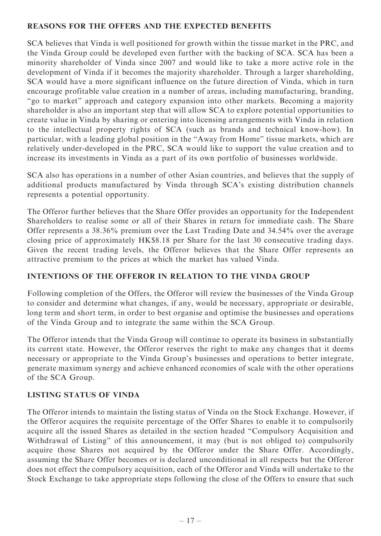## REASONS FOR THE OFFERS AND THE EXPECTED BENEFITS

SCA believes that Vinda is well positioned for growth within the tissue market in the PRC, and the Vinda Group could be developed even further with the backing of SCA. SCA has been a minority shareholder of Vinda since 2007 and would like to take a more active role in the development of Vinda if it becomes the majority shareholder. Through a larger shareholding, SCA would have a more significant influence on the future direction of Vinda, which in turn encourage profitable value creation in a number of areas, including manufacturing, branding, "go to market" approach and category expansion into other markets. Becoming a majority shareholder is also an important step that will allow SCA to explore potential opportunities to create value in Vinda by sharing or entering into licensing arrangements with Vinda in relation to the intellectual property rights of SCA (such as brands and technical know-how). In particular, with a leading global position in the ''Away from Home'' tissue markets, which are relatively under-developed in the PRC, SCA would like to support the value creation and to increase its investments in Vinda as a part of its own portfolio of businesses worldwide.

SCA also has operations in a number of other Asian countries, and believes that the supply of additional products manufactured by Vinda through SCA's existing distribution channels represents a potential opportunity.

The Offeror further believes that the Share Offer provides an opportunity for the Independent Shareholders to realise some or all of their Shares in return for immediate cash. The Share Offer represents a 38.36% premium over the Last Trading Date and 34.54% over the average closing price of approximately HK\$8.18 per Share for the last 30 consecutive trading days. Given the recent trading levels, the Offeror believes that the Share Offer represents an attractive premium to the prices at which the market has valued Vinda.

## INTENTIONS OF THE OFFEROR IN RELATION TO THE VINDA GROUP

Following completion of the Offers, the Offeror will review the businesses of the Vinda Group to consider and determine what changes, if any, would be necessary, appropriate or desirable, long term and short term, in order to best organise and optimise the businesses and operations of the Vinda Group and to integrate the same within the SCA Group.

The Offeror intends that the Vinda Group will continue to operate its business in substantially its current state. However, the Offeror reserves the right to make any changes that it deems necessary or appropriate to the Vinda Group's businesses and operations to better integrate, generate maximum synergy and achieve enhanced economies of scale with the other operations of the SCA Group.

## LISTING STATUS OF VINDA

The Offeror intends to maintain the listing status of Vinda on the Stock Exchange. However, if the Offeror acquires the requisite percentage of the Offer Shares to enable it to compulsorily acquire all the issued Shares as detailed in the section headed ''Compulsory Acquisition and Withdrawal of Listing'' of this announcement, it may (but is not obliged to) compulsorily acquire those Shares not acquired by the Offeror under the Share Offer. Accordingly, assuming the Share Offer becomes or is declared unconditional in all respects but the Offeror does not effect the compulsory acquisition, each of the Offeror and Vinda will undertake to the Stock Exchange to take appropriate steps following the close of the Offers to ensure that such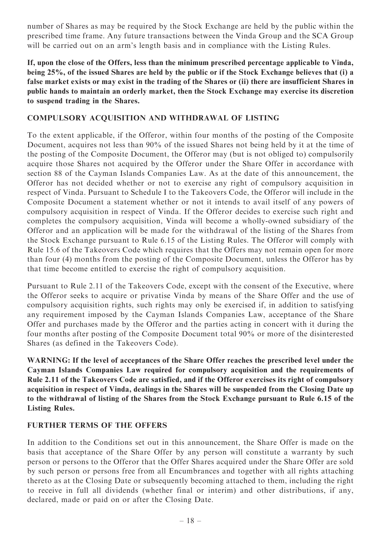number of Shares as may be required by the Stock Exchange are held by the public within the prescribed time frame. Any future transactions between the Vinda Group and the SCA Group will be carried out on an arm's length basis and in compliance with the Listing Rules.

If, upon the close of the Offers, less than the minimum prescribed percentage applicable to Vinda, being 25%, of the issued Shares are held by the public or if the Stock Exchange believes that (i) a false market exists or may exist in the trading of the Shares or (ii) there are insufficient Shares in public hands to maintain an orderly market, then the Stock Exchange may exercise its discretion to suspend trading in the Shares.

## COMPULSORY ACQUISITION AND WITHDRAWAL OF LISTING

To the extent applicable, if the Offeror, within four months of the posting of the Composite Document, acquires not less than 90% of the issued Shares not being held by it at the time of the posting of the Composite Document, the Offeror may (but is not obliged to) compulsorily acquire those Shares not acquired by the Offeror under the Share Offer in accordance with section 88 of the Cayman Islands Companies Law. As at the date of this announcement, the Offeror has not decided whether or not to exercise any right of compulsory acquisition in respect of Vinda. Pursuant to Schedule I to the Takeovers Code, the Offeror will include in the Composite Document a statement whether or not it intends to avail itself of any powers of compulsory acquisition in respect of Vinda. If the Offeror decides to exercise such right and completes the compulsory acquisition, Vinda will become a wholly-owned subsidiary of the Offeror and an application will be made for the withdrawal of the listing of the Shares from the Stock Exchange pursuant to Rule 6.15 of the Listing Rules. The Offeror will comply with Rule 15.6 of the Takeovers Code which requires that the Offers may not remain open for more than four (4) months from the posting of the Composite Document, unless the Offeror has by that time become entitled to exercise the right of compulsory acquisition.

Pursuant to Rule 2.11 of the Takeovers Code, except with the consent of the Executive, where the Offeror seeks to acquire or privatise Vinda by means of the Share Offer and the use of compulsory acquisition rights, such rights may only be exercised if, in addition to satisfying any requirement imposed by the Cayman Islands Companies Law, acceptance of the Share Offer and purchases made by the Offeror and the parties acting in concert with it during the four months after posting of the Composite Document total 90% or more of the disinterested Shares (as defined in the Takeovers Code).

WARNING: If the level of acceptances of the Share Offer reaches the prescribed level under the Cayman Islands Companies Law required for compulsory acquisition and the requirements of Rule 2.11 of the Takeovers Code are satisfied, and if the Offeror exercises its right of compulsory acquisition in respect of Vinda, dealings in the Shares will be suspended from the Closing Date up to the withdrawal of listing of the Shares from the Stock Exchange pursuant to Rule 6.15 of the Listing Rules.

## FURTHER TERMS OF THE OFFERS

In addition to the Conditions set out in this announcement, the Share Offer is made on the basis that acceptance of the Share Offer by any person will constitute a warranty by such person or persons to the Offeror that the Offer Shares acquired under the Share Offer are sold by such person or persons free from all Encumbrances and together with all rights attaching thereto as at the Closing Date or subsequently becoming attached to them, including the right to receive in full all dividends (whether final or interim) and other distributions, if any, declared, made or paid on or after the Closing Date.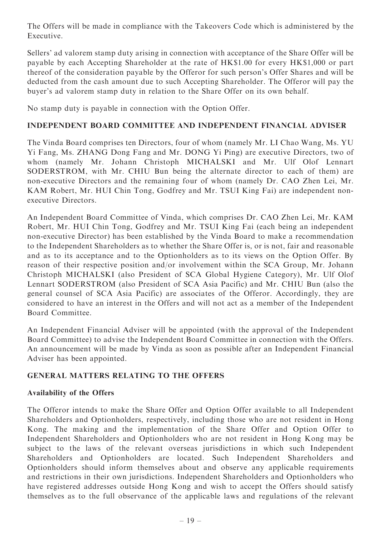The Offers will be made in compliance with the Takeovers Code which is administered by the Executive.

Sellers' ad valorem stamp duty arising in connection with acceptance of the Share Offer will be payable by each Accepting Shareholder at the rate of HK\$1.00 for every HK\$1,000 or part thereof of the consideration payable by the Offeror for such person's Offer Shares and will be deducted from the cash amount due to such Accepting Shareholder. The Offeror will pay the buyer's ad valorem stamp duty in relation to the Share Offer on its own behalf.

No stamp duty is payable in connection with the Option Offer.

## INDEPENDENT BOARD COMMITTEE AND INDEPENDENT FINANCIAL ADVISER

The Vinda Board comprises ten Directors, four of whom (namely Mr. LI Chao Wang, Ms. YU Yi Fang, Ms. ZHANG Dong Fang and Mr. DONG Yi Ping) are executive Directors, two of whom (namely Mr. Johann Christoph MICHALSKI and Mr. Ulf Olof Lennart SODERSTROM, with Mr. CHIU Bun being the alternate director to each of them) are non-executive Directors and the remaining four of whom (namely Dr. CAO Zhen Lei, Mr. KAM Robert, Mr. HUI Chin Tong, Godfrey and Mr. TSUI King Fai) are independent nonexecutive Directors.

An Independent Board Committee of Vinda, which comprises Dr. CAO Zhen Lei, Mr. KAM Robert, Mr. HUI Chin Tong, Godfrey and Mr. TSUI King Fai (each being an independent non-executive Director) has been established by the Vinda Board to make a recommendation to the Independent Shareholders as to whether the Share Offer is, or is not, fair and reasonable and as to its acceptance and to the Optionholders as to its views on the Option Offer. By reason of their respective position and/or involvement within the SCA Group, Mr. Johann Christoph MICHALSKI (also President of SCA Global Hygiene Category), Mr. Ulf Olof Lennart SODERSTROM (also President of SCA Asia Pacific) and Mr. CHIU Bun (also the general counsel of SCA Asia Pacific) are associates of the Offeror. Accordingly, they are considered to have an interest in the Offers and will not act as a member of the Independent Board Committee.

An Independent Financial Adviser will be appointed (with the approval of the Independent Board Committee) to advise the Independent Board Committee in connection with the Offers. An announcement will be made by Vinda as soon as possible after an Independent Financial Adviser has been appointed.

## GENERAL MATTERS RELATING TO THE OFFERS

## Availability of the Offers

The Offeror intends to make the Share Offer and Option Offer available to all Independent Shareholders and Optionholders, respectively, including those who are not resident in Hong Kong. The making and the implementation of the Share Offer and Option Offer to Independent Shareholders and Optionholders who are not resident in Hong Kong may be subject to the laws of the relevant overseas jurisdictions in which such Independent Shareholders and Optionholders are located. Such Independent Shareholders and Optionholders should inform themselves about and observe any applicable requirements and restrictions in their own jurisdictions. Independent Shareholders and Optionholders who have registered addresses outside Hong Kong and wish to accept the Offers should satisfy themselves as to the full observance of the applicable laws and regulations of the relevant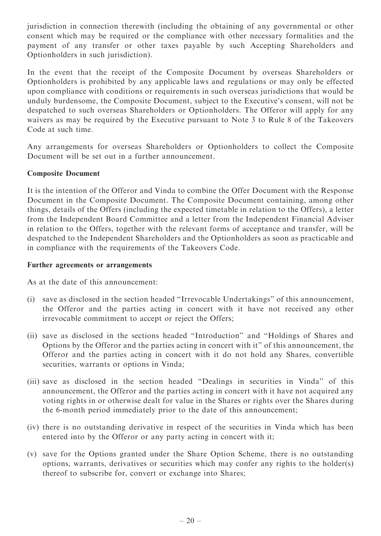jurisdiction in connection therewith (including the obtaining of any governmental or other consent which may be required or the compliance with other necessary formalities and the payment of any transfer or other taxes payable by such Accepting Shareholders and Optionholders in such jurisdiction).

In the event that the receipt of the Composite Document by overseas Shareholders or Optionholders is prohibited by any applicable laws and regulations or may only be effected upon compliance with conditions or requirements in such overseas jurisdictions that would be unduly burdensome, the Composite Document, subject to the Executive's consent, will not be despatched to such overseas Shareholders or Optionholders. The Offeror will apply for any waivers as may be required by the Executive pursuant to Note 3 to Rule 8 of the Takeovers Code at such time.

Any arrangements for overseas Shareholders or Optionholders to collect the Composite Document will be set out in a further announcement.

## Composite Document

It is the intention of the Offeror and Vinda to combine the Offer Document with the Response Document in the Composite Document. The Composite Document containing, among other things, details of the Offers (including the expected timetable in relation to the Offers), a letter from the Independent Board Committee and a letter from the Independent Financial Adviser in relation to the Offers, together with the relevant forms of acceptance and transfer, will be despatched to the Independent Shareholders and the Optionholders as soon as practicable and in compliance with the requirements of the Takeovers Code.

#### Further agreements or arrangements

As at the date of this announcement:

- (i) save as disclosed in the section headed ''Irrevocable Undertakings'' of this announcement, the Offeror and the parties acting in concert with it have not received any other irrevocable commitment to accept or reject the Offers;
- (ii) save as disclosed in the sections headed ''Introduction'' and ''Holdings of Shares and Options by the Offeror and the parties acting in concert with it'' of this announcement, the Offeror and the parties acting in concert with it do not hold any Shares, convertible securities, warrants or options in Vinda;
- (iii) save as disclosed in the section headed ''Dealings in securities in Vinda'' of this announcement, the Offeror and the parties acting in concert with it have not acquired any voting rights in or otherwise dealt for value in the Shares or rights over the Shares during the 6-month period immediately prior to the date of this announcement;
- (iv) there is no outstanding derivative in respect of the securities in Vinda which has been entered into by the Offeror or any party acting in concert with it;
- (v) save for the Options granted under the Share Option Scheme, there is no outstanding options, warrants, derivatives or securities which may confer any rights to the holder(s) thereof to subscribe for, convert or exchange into Shares;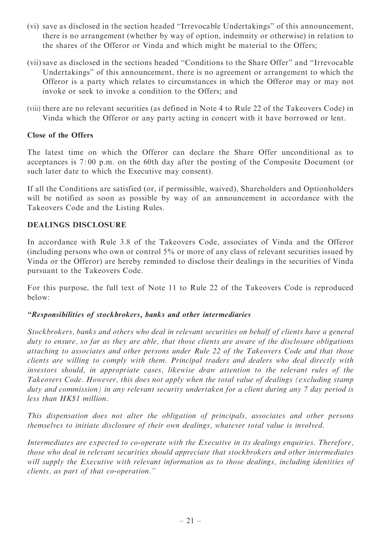- (vi) save as disclosed in the section headed ''Irrevocable Undertakings'' of this announcement, there is no arrangement (whether by way of option, indemnity or otherwise) in relation to the shares of the Offeror or Vinda and which might be material to the Offers;
- (vii) save as disclosed in the sections headed ''Conditions to the Share Offer'' and ''Irrevocable Undertakings'' of this announcement, there is no agreement or arrangement to which the Offeror is a party which relates to circumstances in which the Offeror may or may not invoke or seek to invoke a condition to the Offers; and
- (viii) there are no relevant securities (as defined in Note 4 to Rule 22 of the Takeovers Code) in Vinda which the Offeror or any party acting in concert with it have borrowed or lent.

## Close of the Offers

The latest time on which the Offeror can declare the Share Offer unconditional as to acceptances is 7: 00 p.m. on the 60th day after the posting of the Composite Document (or such later date to which the Executive may consent).

If all the Conditions are satisfied (or, if permissible, waived), Shareholders and Optionholders will be notified as soon as possible by way of an announcement in accordance with the Takeovers Code and the Listing Rules.

## DEALINGS DISCLOSURE

In accordance with Rule 3.8 of the Takeovers Code, associates of Vinda and the Offeror (including persons who own or control 5% or more of any class of relevant securities issued by Vinda or the Offeror) are hereby reminded to disclose their dealings in the securities of Vinda pursuant to the Takeovers Code.

For this purpose, the full text of Note 11 to Rule 22 of the Takeovers Code is reproduced below:

#### ''Responsibilities of stockbrokers, banks and other intermediaries

Stockbrokers, banks and others who deal in relevant securities on behalf of clients have a general duty to ensure, so far as they are able, that those clients are aware of the disclosure obligations attaching to associates and other persons under Rule 22 of the Takeovers Code and that those clients are willing to comply with them. Principal traders and dealers who deal directly with investors should, in appropriate cases, likewise draw attention to the relevant rules of the Takeovers Code. However, this does not apply when the total value of dealings (excluding stamp duty and commission) in any relevant security undertaken for a client during any 7 day period is less than HK\$1 million.

This dispensation does not alter the obligation of principals, associates and other persons themselves to initiate disclosure of their own dealings, whatever total value is involved.

Intermediates are expected to co-operate with the Executive in its dealings enquiries. Therefore, those who deal in relevant securities should appreciate that stockbrokers and other intermediates will supply the Executive with relevant information as to those dealings, including identities of clients, as part of that co-operation.''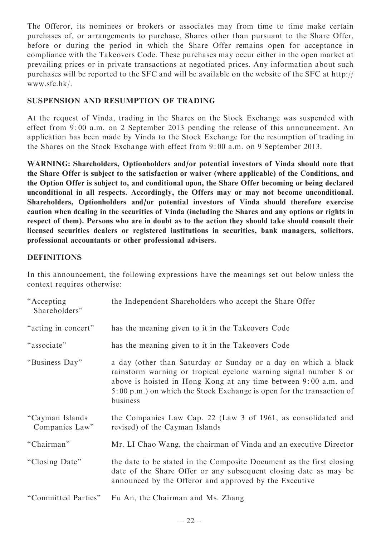The Offeror, its nominees or brokers or associates may from time to time make certain purchases of, or arrangements to purchase, Shares other than pursuant to the Share Offer, before or during the period in which the Share Offer remains open for acceptance in compliance with the Takeovers Code. These purchases may occur either in the open market at prevailing prices or in private transactions at negotiated prices. Any information about such purchases will be reported to the SFC and will be available on the website of the SFC at http:// www.sfc.hk/.

## SUSPENSION AND RESUMPTION OF TRADING

At the request of Vinda, trading in the Shares on the Stock Exchange was suspended with effect from 9: 00 a.m. on 2 September 2013 pending the release of this announcement. An application has been made by Vinda to the Stock Exchange for the resumption of trading in the Shares on the Stock Exchange with effect from 9: 00 a.m. on 9 September 2013.

WARNING: Shareholders, Optionholders and/or potential investors of Vinda should note that the Share Offer is subject to the satisfaction or waiver (where applicable) of the Conditions, and the Option Offer is subject to, and conditional upon, the Share Offer becoming or being declared unconditional in all respects. Accordingly, the Offers may or may not become unconditional. Shareholders, Optionholders and/or potential investors of Vinda should therefore exercise caution when dealing in the securities of Vinda (including the Shares and any options or rights in respect of them). Persons who are in doubt as to the action they should take should consult their licensed securities dealers or registered institutions in securities, bank managers, solicitors, professional accountants or other professional advisers.

## DEFINITIONS

In this announcement, the following expressions have the meanings set out below unless the context requires otherwise:

| "Accepting<br>Shareholders"        | the Independent Shareholders who accept the Share Offer                                                                                                                                                                                                                                    |
|------------------------------------|--------------------------------------------------------------------------------------------------------------------------------------------------------------------------------------------------------------------------------------------------------------------------------------------|
| "acting in concert"                | has the meaning given to it in the Takeovers Code                                                                                                                                                                                                                                          |
| "associate"                        | has the meaning given to it in the Takeovers Code                                                                                                                                                                                                                                          |
| "Business Day"                     | a day (other than Saturday or Sunday or a day on which a black<br>rainstorm warning or tropical cyclone warning signal number 8 or<br>above is hoisted in Hong Kong at any time between 9:00 a.m. and<br>5:00 p.m.) on which the Stock Exchange is open for the transaction of<br>business |
| "Cayman Islands"<br>Companies Law" | the Companies Law Cap. 22 (Law 3 of 1961, as consolidated and<br>revised) of the Cayman Islands                                                                                                                                                                                            |
| "Chairman"                         | Mr. LI Chao Wang, the chairman of Vinda and an executive Director                                                                                                                                                                                                                          |
| "Closing Date"                     | the date to be stated in the Composite Document as the first closing<br>date of the Share Offer or any subsequent closing date as may be<br>announced by the Offeror and approved by the Executive                                                                                         |
| "Committed Parties"                | Fu An, the Chairman and Ms. Zhang                                                                                                                                                                                                                                                          |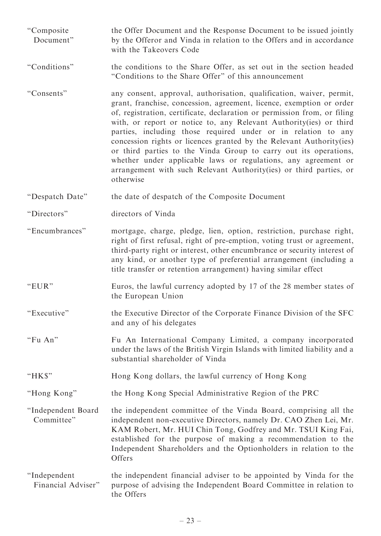- ''Composite Document'' the Offer Document and the Response Document to be issued jointly by the Offeror and Vinda in relation to the Offers and in accordance with the Takeovers Code
- ''Conditions'' the conditions to the Share Offer, as set out in the section headed ''Conditions to the Share Offer'' of this announcement
- ''Consents'' any consent, approval, authorisation, qualification, waiver, permit, grant, franchise, concession, agreement, licence, exemption or order of, registration, certificate, declaration or permission from, or filing with, or report or notice to, any Relevant Authority(ies) or third parties, including those required under or in relation to any concession rights or licences granted by the Relevant Authority(ies) or third parties to the Vinda Group to carry out its operations, whether under applicable laws or regulations, any agreement or arrangement with such Relevant Authority(ies) or third parties, or otherwise
- ''Despatch Date'' the date of despatch of the Composite Document
- ''Directors'' directors of Vinda
- ''Encumbrances'' mortgage, charge, pledge, lien, option, restriction, purchase right, right of first refusal, right of pre-emption, voting trust or agreement, third-party right or interest, other encumbrance or security interest of any kind, or another type of preferential arrangement (including a title transfer or retention arrangement) having similar effect
- "EUR" Euros, the lawful currency adopted by 17 of the 28 member states of the European Union
- ''Executive'' the Executive Director of the Corporate Finance Division of the SFC and any of his delegates
- "Fu An" Fu An International Company Limited, a company incorporated under the laws of the British Virgin Islands with limited liability and a substantial shareholder of Vinda
- "HK\$" Hong Kong dollars, the lawful currency of Hong Kong
- ''Hong Kong'' the Hong Kong Special Administrative Region of the PRC
- ''Independent Board Committee'' the independent committee of the Vinda Board, comprising all the independent non-executive Directors, namely Dr. CAO Zhen Lei, Mr. KAM Robert, Mr. HUI Chin Tong, Godfrey and Mr. TSUI King Fai, established for the purpose of making a recommendation to the Independent Shareholders and the Optionholders in relation to the **Offers**
- ''Independent Financial Adviser'' the independent financial adviser to be appointed by Vinda for the purpose of advising the Independent Board Committee in relation to the Offers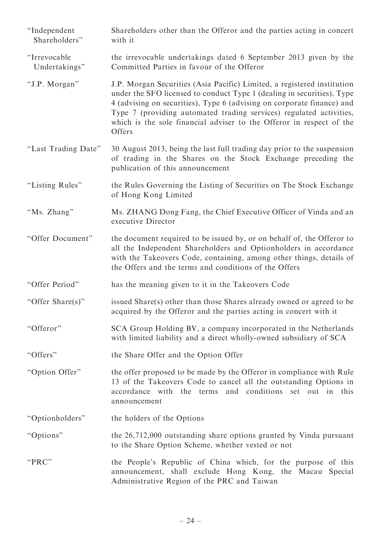| "Independent<br>Shareholders" | Shareholders other than the Offeror and the parties acting in concert<br>with it                                                                                                                                                                                                                                                                                                     |
|-------------------------------|--------------------------------------------------------------------------------------------------------------------------------------------------------------------------------------------------------------------------------------------------------------------------------------------------------------------------------------------------------------------------------------|
| "Irrevocable<br>Undertakings" | the irrevocable undertakings dated 6 September 2013 given by the<br>Committed Parties in favour of the Offeror                                                                                                                                                                                                                                                                       |
| "J.P. Morgan"                 | J.P. Morgan Securities (Asia Pacific) Limited, a registered institution<br>under the SFO licensed to conduct Type 1 (dealing in securities), Type<br>4 (advising on securities), Type 6 (advising on corporate finance) and<br>Type 7 (providing automated trading services) regulated activities,<br>which is the sole financial adviser to the Offeror in respect of the<br>Offers |
| "Last Trading Date"           | 30 August 2013, being the last full trading day prior to the suspension<br>of trading in the Shares on the Stock Exchange preceding the<br>publication of this announcement                                                                                                                                                                                                          |
| "Listing Rules"               | the Rules Governing the Listing of Securities on The Stock Exchange<br>of Hong Kong Limited                                                                                                                                                                                                                                                                                          |
| "Ms. Zhang"                   | Ms. ZHANG Dong Fang, the Chief Executive Officer of Vinda and an<br>executive Director                                                                                                                                                                                                                                                                                               |
| "Offer Document"              | the document required to be issued by, or on behalf of, the Offeror to<br>all the Independent Shareholders and Optionholders in accordance<br>with the Takeovers Code, containing, among other things, details of<br>the Offers and the terms and conditions of the Offers                                                                                                           |
| "Offer Period"                | has the meaning given to it in the Takeovers Code                                                                                                                                                                                                                                                                                                                                    |
| "Offer Share(s)"              | issued Share(s) other than those Shares already owned or agreed to be<br>acquired by the Offeror and the parties acting in concert with it                                                                                                                                                                                                                                           |
| "Offeror"                     | SCA Group Holding BV, a company incorporated in the Netherlands<br>with limited liability and a direct wholly-owned subsidiary of SCA                                                                                                                                                                                                                                                |
| "Offers"                      | the Share Offer and the Option Offer                                                                                                                                                                                                                                                                                                                                                 |
| "Option Offer"                | the offer proposed to be made by the Offeror in compliance with Rule<br>13 of the Takeovers Code to cancel all the outstanding Options in<br>accordance with the terms and conditions set out in this<br>announcement                                                                                                                                                                |
| "Optionholders"               | the holders of the Options                                                                                                                                                                                                                                                                                                                                                           |
| "Options"                     | the 26,712,000 outstanding share options granted by Vinda pursuant<br>to the Share Option Scheme, whether vested or not                                                                                                                                                                                                                                                              |
| "PRC"                         | the People's Republic of China which, for the purpose of this<br>announcement, shall exclude Hong Kong, the Macau Special<br>Administrative Region of the PRC and Taiwan                                                                                                                                                                                                             |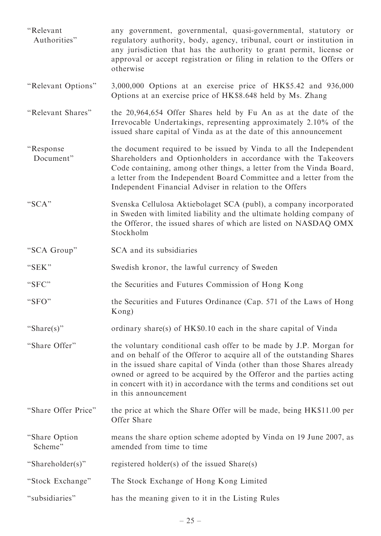- ''Relevant Authorities'' any government, governmental, quasi-governmental, statutory or regulatory authority, body, agency, tribunal, court or institution in any jurisdiction that has the authority to grant permit, license or approval or accept registration or filing in relation to the Offers or otherwise
- ''Relevant Options'' 3,000,000 Options at an exercise price of HK\$5.42 and 936,000 Options at an exercise price of HK\$8.648 held by Ms. Zhang
- ''Relevant Shares'' the 20,964,654 Offer Shares held by Fu An as at the date of the Irrevocable Undertakings, representing approximately 2.10% of the issued share capital of Vinda as at the date of this announcement
- ''Response Document'' the document required to be issued by Vinda to all the Independent Shareholders and Optionholders in accordance with the Takeovers Code containing, among other things, a letter from the Vinda Board, a letter from the Independent Board Committee and a letter from the Independent Financial Adviser in relation to the Offers
- ''SCA'' Svenska Cellulosa Aktiebolaget SCA (publ), a company incorporated in Sweden with limited liability and the ultimate holding company of the Offeror, the issued shares of which are listed on NASDAQ OMX Stockholm
- ''SCA Group'' SCA and its subsidiaries
- "SEK" Swedish kronor, the lawful currency of Sweden
- "SFC" the Securities and Futures Commission of Hong Kong
- "SFO" the Securities and Futures Ordinance (Cap. 571 of the Laws of Hong" Kong)
- ''Share(s)'' ordinary share(s) of HK\$0.10 each in the share capital of Vinda
- "Share Offer" the voluntary conditional cash offer to be made by J.P. Morgan for and on behalf of the Offeror to acquire all of the outstanding Shares in the issued share capital of Vinda (other than those Shares already owned or agreed to be acquired by the Offeror and the parties acting in concert with it) in accordance with the terms and conditions set out in this announcement
- ''Share Offer Price'' the price at which the Share Offer will be made, being HK\$11.00 per Offer Share
- ''Share Option Scheme'' means the share option scheme adopted by Vinda on 19 June 2007, as amended from time to time
- "Shareholder(s)" registered holder(s) of the issued Share(s)
- ''Stock Exchange'' The Stock Exchange of Hong Kong Limited
- ''subsidiaries'' has the meaning given to it in the Listing Rules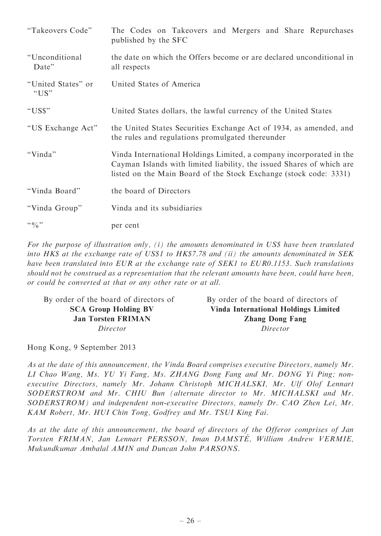| "Takeovers Code"           | The Codes on Takeovers and Mergers and Share Repurchases<br>published by the SFC                                                                                                                                  |  |
|----------------------------|-------------------------------------------------------------------------------------------------------------------------------------------------------------------------------------------------------------------|--|
| "Unconditional<br>Date"    | the date on which the Offers become or are declared unconditional in<br>all respects                                                                                                                              |  |
| "United States" or<br>"US" | United States of America                                                                                                                                                                                          |  |
| "US\$"                     | United States dollars, the lawful currency of the United States                                                                                                                                                   |  |
| "US Exchange Act"          | the United States Securities Exchange Act of 1934, as amended, and<br>the rules and regulations promulgated thereunder                                                                                            |  |
| "Vinda"                    | Vinda International Holdings Limited, a company incorporated in the<br>Cayman Islands with limited liability, the issued Shares of which are<br>listed on the Main Board of the Stock Exchange (stock code: 3331) |  |
| "Vinda Board"              | the board of Directors                                                                                                                                                                                            |  |
| "Vinda Group"              | Vinda and its subsidiaries                                                                                                                                                                                        |  |
| $\lq\lq 0$ $\lq\lq$        | per cent                                                                                                                                                                                                          |  |

For the purpose of illustration only,  $(i)$  the amounts denominated in US\$ have been translated into HK\$ at the exchange rate of US\$1 to HK\$7.78 and (ii) the amounts denominated in SEK have been translated into EUR at the exchange rate of SEK1 to EUR0.1153. Such translations should not be construed as a representation that the relevant amounts have been, could have been, or could be converted at that or any other rate or at all.

| By order of the board of directors of | By order of the board of directors of |
|---------------------------------------|---------------------------------------|
| <b>SCA Group Holding BV</b>           | Vinda International Holdings Limited  |
| <b>Jan Torsten FRIMAN</b>             | <b>Zhang Dong Fang</b>                |
| Director                              | Director                              |

Hong Kong, 9 September 2013

As at the date of this announcement, the Vinda Board comprises executive Directors, namely Mr. LI Chao Wang, Ms. YU Yi Fang, Ms. ZHANG Dong Fang and Mr. DONG Yi Ping; nonexecutive Directors, namely Mr. Johann Christoph MICHALSKI, Mr. Ulf Olof Lennart SODERSTROM and Mr. CHIU Bun (alternate director to Mr. MICHALSKI and Mr. SODERSTROM) and independent non-executive Directors, namely Dr. CAO Zhen Lei, Mr. KAM Robert, Mr. HUI Chin Tong, Godfrey and Mr. TSUI King Fai.

As at the date of this announcement, the board of directors of the Offeror comprises of Jan Torsten FRIMAN, Jan Lennart PERSSON, Iman DAMSTÉ, William Andrew VERMIE, Mukundkumar Ambalal AMIN and Duncan John PARSONS.